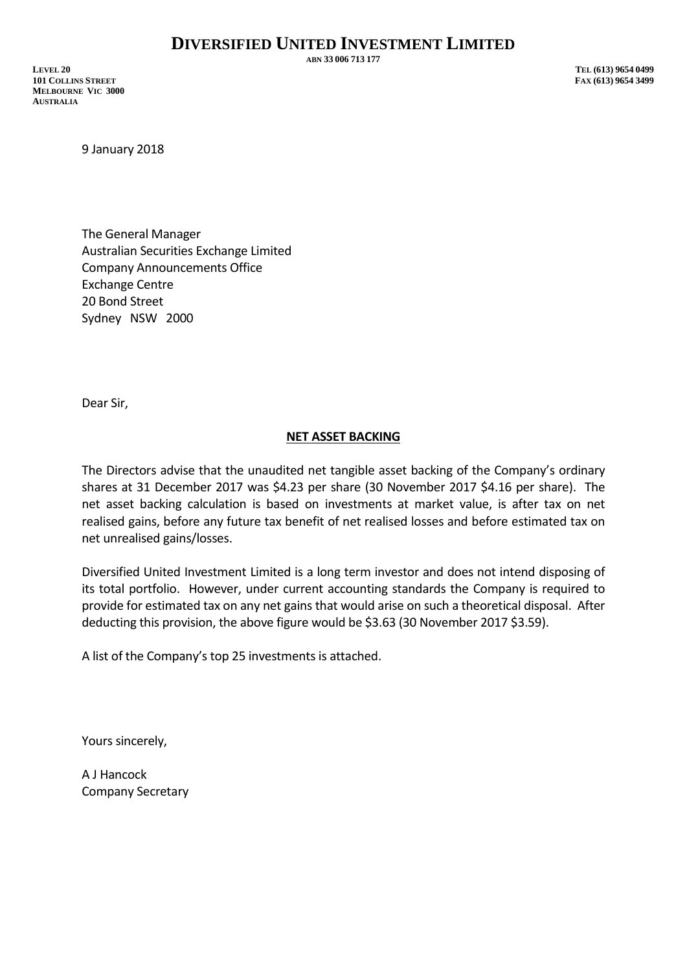**ABN 33 006 713 177**

**LEVEL 20 TEL (613) 9654 0499 101 COLLINS STREET FAX (613) 9654 3499 MELBOURNE VIC 3000 AUSTRALIA**

9 January 2018

The General Manager Australian Securities Exchange Limited Company Announcements Office Exchange Centre 20 Bond Street Sydney NSW 2000

Dear Sir,

## **NET ASSET BACKING**

The Directors advise that the unaudited net tangible asset backing of the Company's ordinary shares at 31 December 2017 was \$4.23 per share (30 November 2017 \$4.16 per share). The net asset backing calculation is based on investments at market value, is after tax on net realised gains, before any future tax benefit of net realised losses and before estimated tax on net unrealised gains/losses.

Diversified United Investment Limited is a long term investor and does not intend disposing of its total portfolio. However, under current accounting standards the Company is required to provide for estimated tax on any net gains that would arise on such a theoretical disposal. After deducting this provision, the above figure would be \$3.63 (30 November 2017 \$3.59).

A list of the Company's top 25 investments is attached.

Yours sincerely,

A J Hancock Company Secretary